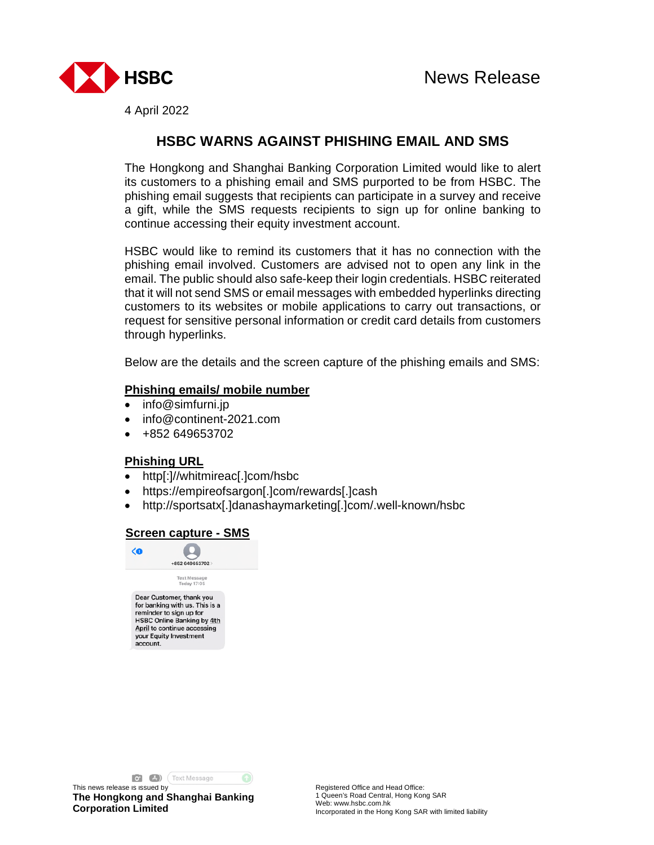

4 April 2022

# **HSBC WARNS AGAINST PHISHING EMAIL AND SMS**

The Hongkong and Shanghai Banking Corporation Limited would like to alert its customers to a phishing email and SMS purported to be from HSBC. The phishing email suggests that recipients can participate in a survey and receive a gift, while the SMS requests recipients to sign up for online banking to continue accessing their equity investment account.

HSBC would like to remind its customers that it has no connection with the phishing email involved. Customers are advised not to open any link in the email. The public should also safe-keep their login credentials. HSBC reiterated that it will not send SMS or email messages with embedded hyperlinks directing customers to its websites or mobile applications to carry out transactions, or request for sensitive personal information or credit card details from customers through hyperlinks.

Below are the details and the screen capture of the phishing emails and SMS:

## **Phishing emails/ mobile number**

- info@simfurni.jp
- info@continent-2021.com
- +852 649653702

#### **Phishing URL**

- http[:]//whitmireac[.]com/hsbc
- https://empireofsargon[.]com/rewards[.]cash
- http://sportsatx[.]danashaymarketing[.]com/.well-known/hsbc

## **Screen capture - SMS**



**O'** (A) (Text Message

This news release is issued by **The Hongkong and Shanghai Banking Corporation Limited**